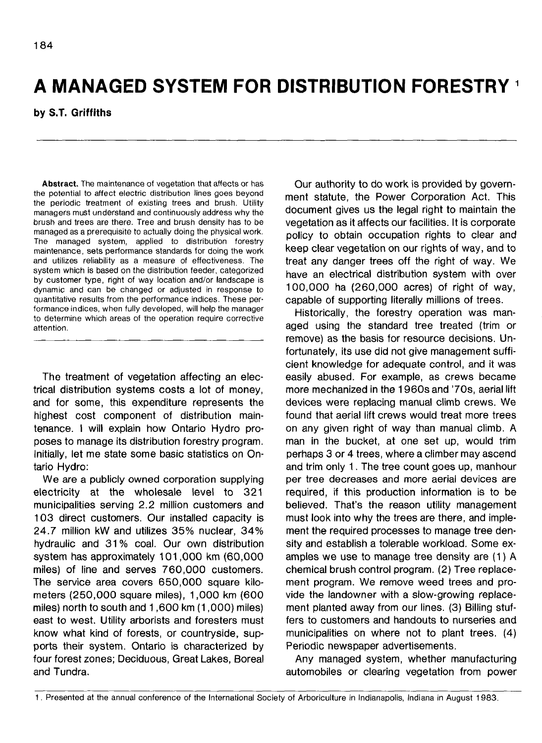# **A MANAGED SYSTEM FOR DISTRIBUTION FORESTRY**

## **by S.T. Griffiths**

**Abstract.** The maintenance of vegetation that affects or has the potential to affect electric distribution lines goes beyond the periodic treatment of existing trees and brush. Utility managers must understand and continuously address why the brush and trees are there. Tree and brush density has to be managed as a prerequisite to actually doing the physical work. The managed system, applied to distribution forestry maintenance, sets performance standards for doing the work and utilizes reliability as a measure of effectiveness. The system which is based on the distribution feeder, categorized by customer type, right of way location and/or landscape is dynamic and can be changed or adjusted in response to quantitative results from the performance indices. These performance indices, when fully developed, will help the manager to determine which areas of the operation require corrective attention.

The treatment of vegetation affecting an electrical distribution systems costs a lot of money, and for some, this expenditure represents the highest cost component of distribution maintenance. I will explain how Ontario Hydro proposes to manage its distribution forestry program. Initially, let me state some basic statistics on Ontario Hydro:

We are a publicly owned corporation supplying electricity at the wholesale level to 321 municipalities serving 2.2 million customers and 103 direct customers. Our installed capacity is 24.7 million kW and utilizes 35% nuclear, 34% hydraulic and 31 % coal. Our own distribution system has approximately 101,000 km (60,000 miles) of line and serves 760,000 customers. The service area covers 650,000 square kilometers (250,000 square miles), 1,000 km (600 miles) north to south and 1,600 km (1,000) miles) east to west. Utility arborists and foresters must know what kind of forests, or countryside, supports their system. Ontario is characterized by four forest zones; Deciduous, Great Lakes, Boreal and Tundra.

Our authority to do work is provided by government statute, the Power Corporation Act. This document gives us the legal right to maintain the vegetation as it affects our facilities. It is corporate policy to obtain occupation rights to clear and keep clear vegetation on our rights of way, and to treat any danger trees off the right of way. We have an electrical distribution system with over 100,000 ha (260,000 acres) of right of way, capable of supporting literally millions of trees.

Historically, the forestry operation was managed using the standard tree treated (trim or remove) as the basis for resource decisions. Unfortunately, its use did not give management sufficient knowledge for adequate control, and it was easily abused. For example, as crews became more mechanized in the 1960s and '70s, aerial lift devices were replacing manual climb crews. We found that aerial lift crews would treat more trees on any given right of way than manual climb. A man in the bucket, at one set up, would trim perhaps 3 or 4 trees, where a climber may ascend and trim only 1. The tree count goes up, manhour per tree decreases and more aerial devices are required, if this production information is to be believed. That's the reason utility management must look into why the trees are there, and implement the required processes to manage tree density and establish a tolerable workload. Some examples we use to manage tree density are (1) A chemical brush control program. (2) Tree replacement program. We remove weed trees and provide the landowner with a slow-growing replacement planted away from our lines. (3) Billing stuffers to customers and handouts to nurseries and municipalities on where not to plant trees. (4) Periodic newspaper advertisements.

Any managed system, whether manufacturing automobiles or clearing vegetation from power

<sup>1.</sup> Presented at the annual conference of the International Society of Arboriculture in Indianapolis, Indiana in August 1983.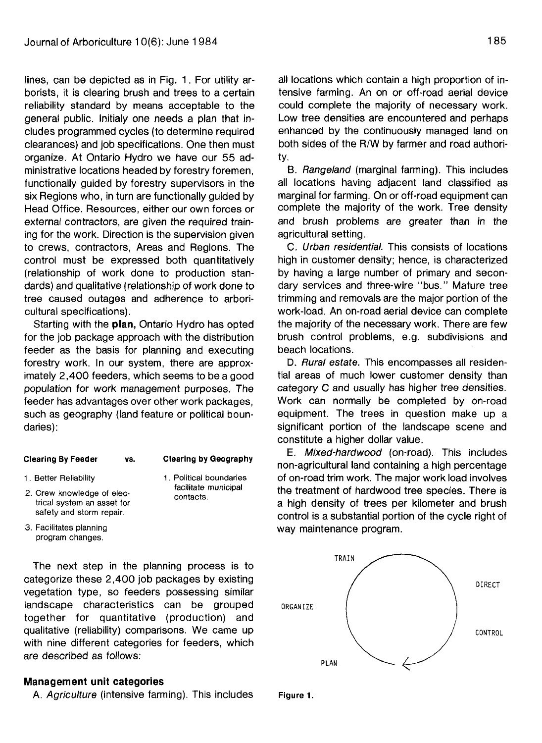lines, can be depicted as in Fig. 1. For utility arborists, it is clearing brush and trees to a certain reliability standard by means acceptable to the general public. Initialy one needs a plan that includes programmed cycles (to determine required clearances) and job specifications. One then must organize. At Ontario Hydro we have our 55 administrative locations headed by forestry foremen, functionally guided by forestry supervisors in the six Regions who, in turn are functionally guided by Head Office. Resources, either our own forces or external contractors, are given the required training for the work. Direction is the supervision given to crews, contractors, Areas and Regions. The control must be expressed both quantitatively (relationship of work done to production standards) and qualitative (relationship of work done to tree caused outages and adherence to arboricultural specifications).

Starting with the **plan,** Ontario Hydro has opted for the job package approach with the distribution feeder as the basis for planning and executing forestry work. In our system, there are approximately 2,400 feeders, which seems to be a good population for work management purposes. The feeder has advantages over other work packages, such as geography (land feature or political boundaries):

#### **Clearing By Feeder vs.**

#### **Clearing by Geography**

- 1. Better Reliability
- 1. Political boundaries facilitate municipal contacts.
- trical system an asset for safety and storm repair. 3. Facilitates planning

program changes.

2. Crew knowledge of elec-

The next step in the planning process is to categorize these 2,400 job packages by existing vegetation type, so feeders possessing similar landscape characteristics can be grouped oRGANIZE together for quantitative (production) and qualitative (reliability) comparisons. We came up with nine different categories for feeders, which are described as follows:

### **Management unit categories**

A. Agriculture (intensive farming). This includes Figure 1.

all locations which contain a high proportion of intensive farming. An on or off-road aerial device could complete the majority of necessary work. Low tree densities are encountered and perhaps enhanced by the continuously managed land on both sides of the R/W by farmer and road authority.

B. Rangeland (marginal farming). This includes all locations having adjacent land classified as marginal for farming. On or off-road equipment can complete the majority of the work. Tree density and brush problems are greater than in the agricultural setting.

C. Urban residential. This consists of locations high in customer density; hence, is characterized by having a large number of primary and secondary services and three-wire "bus." Mature tree trimming and removals are the major portion of the work-load. An on-road aerial device can complete the majority of the necessary work. There are few brush control problems, e.g. subdivisions and beach locations.

D. Rural estate. This encompasses all residential areas of much lower customer density than category C and usually has higher tree densities. Work can normally be completed by on-road equipment. The trees in question make up a significant portion of the landscape scene and constitute a higher dollar value.

E. Mixed-hardwood (on-road). This includes non-agricultural land containing a high percentage of on-road trim work. The major work load involves the treatment of hardwood tree species. There is a high density of trees per kilometer and brush control is a substantial portion of the cycle right of way maintenance program.



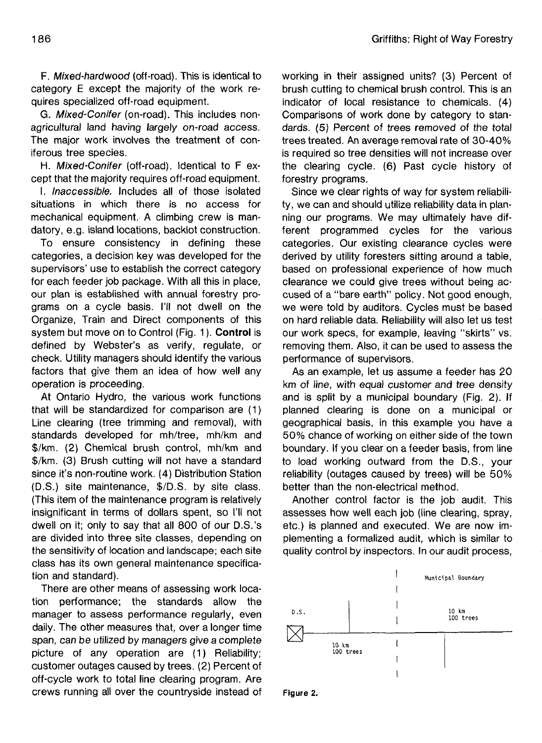F. Mixed-hardwood (off-road). This is identical to category E except the majority of the work requires specialized off-road equipment.

G. Mixed-Conifer (on-road). This includes nonagricultural land having largely on-road access. The major work involves the treatment of coniferous tree species.

H. Mixed-Conifer (off-road). Identical to F except that the majority requires off-road equipment.

I. Inaccessible. Includes all of those isolated situations in which there is no access for mechanical equipment. A climbing crew is mandatory, e.g. island locations, backlot construction.

To ensure consistency in defining these categories, a decision key was developed for the supervisors' use to establish the correct category for each feeder job package. With all this in place, our plan is established with annual forestry programs on a cycle basis. I'll not dwell on the Organize, Train and Direct components of this system but move on to Control (Fig. 1). **Control** is defined by Webster's as verify, regulate, or check. Utility managers should identify the various factors that give them an idea of how well any operation is proceeding.

At Ontario Hydro, the various work functions that will be standardized for comparison are (1) Line clearing (tree trimming and removal), with standards developed for mh/tree, mh/km and \$/km. (2) Chemical brush control, mh/km and \$/km. (3) Brush cutting will not have a standard since it's non-routine work. (4) Distribution Station (D.S.) site maintenance, \$/D.S. by site class. (This item of the maintenance program is relatively insignificant in terms of dollars spent, so I'll not dwell on it; only to say that all 800 of our D.S.'s are divided into three site classes, depending on the sensitivity of location and landscape; each site class has its own general maintenance specification and standard).

There are other means of assessing work location performance; the standards allow the manager to assess performance regularly, even daily. The other measures that, over a longer time span, can be utilized by managers give a complete picture of any operation are (1) Reliability; customer outages caused by trees. (2) Percent of off-cycle work to total line clearing program. Are crews running all over the countryside instead of working in their assigned units? (3) Percent of brush cutting to chemical brush control. This is an indicator of local resistance to chemicals. (4) Comparisons of work done by category to standards. (5) Percent of trees removed of the total trees treated. An average removal rate of 30-40% is required so tree densities will not increase over the clearing cycle. (6) Past cycle history of forestry programs.

Since we clear rights of way for system reliability, we can and should utilize reliability data in planning our programs. We may ultimately have different programmed cycles for the various categories. Our existing clearance cycles were derived by utility foresters sitting around a table, based on professional experience of how much clearance we could give trees without being accused of a "bare earth" policy. Not good enough, we were told by auditors. Cycles must be based on hard reliable data. Reliability will also let us test our work specs, for example, leaving "skirts" vs. removing them. Also, it can be used to assess the performance of supervisors.

As an example, let us assume a feeder has 20 km of line, with equal customer and tree density and is split by a municipal boundary (Fig. 2). If planned clearing is done on a municipal or geographical basis, in this example you have a 50% chance of working on either side of the town boundary. If you clear on a feeder basis, from line to load working outward from the D.S., your reliability (outages caused by trees) will be 50% better than the non-electrical method.

Another control factor is the job audit. This assesses how well each job (line clearing, spray, etc.) is planned and executed. We are now implementing a formalized audit, which is similar to quality control by inspectors. In our audit process,



**Figure 2.**